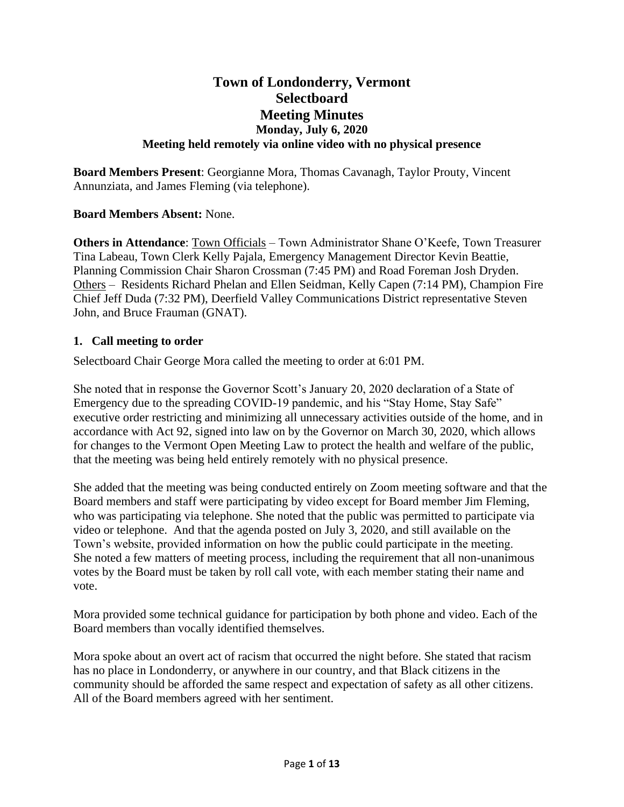# **Town of Londonderry, Vermont Selectboard Meeting Minutes Monday, July 6, 2020 Meeting held remotely via online video with no physical presence**

**Board Members Present**: Georgianne Mora, Thomas Cavanagh, Taylor Prouty, Vincent Annunziata, and James Fleming (via telephone).

## **Board Members Absent:** None.

**Others in Attendance**: Town Officials – Town Administrator Shane O'Keefe, Town Treasurer Tina Labeau, Town Clerk Kelly Pajala, Emergency Management Director Kevin Beattie, Planning Commission Chair Sharon Crossman (7:45 PM) and Road Foreman Josh Dryden. Others – Residents Richard Phelan and Ellen Seidman, Kelly Capen (7:14 PM), Champion Fire Chief Jeff Duda (7:32 PM), Deerfield Valley Communications District representative Steven John, and Bruce Frauman (GNAT).

#### **1. Call meeting to order**

Selectboard Chair George Mora called the meeting to order at 6:01 PM.

She noted that in response the Governor Scott's January 20, 2020 declaration of a State of Emergency due to the spreading COVID-19 pandemic, and his "Stay Home, Stay Safe" executive order restricting and minimizing all unnecessary activities outside of the home, and in accordance with Act 92, signed into law on by the Governor on March 30, 2020, which allows for changes to the Vermont Open Meeting Law to protect the health and welfare of the public, that the meeting was being held entirely remotely with no physical presence.

She added that the meeting was being conducted entirely on Zoom meeting software and that the Board members and staff were participating by video except for Board member Jim Fleming, who was participating via telephone. She noted that the public was permitted to participate via video or telephone. And that the agenda posted on July 3, 2020, and still available on the Town's website, provided information on how the public could participate in the meeting. She noted a few matters of meeting process, including the requirement that all non-unanimous votes by the Board must be taken by roll call vote, with each member stating their name and vote.

Mora provided some technical guidance for participation by both phone and video. Each of the Board members than vocally identified themselves.

Mora spoke about an overt act of racism that occurred the night before. She stated that racism has no place in Londonderry, or anywhere in our country, and that Black citizens in the community should be afforded the same respect and expectation of safety as all other citizens. All of the Board members agreed with her sentiment.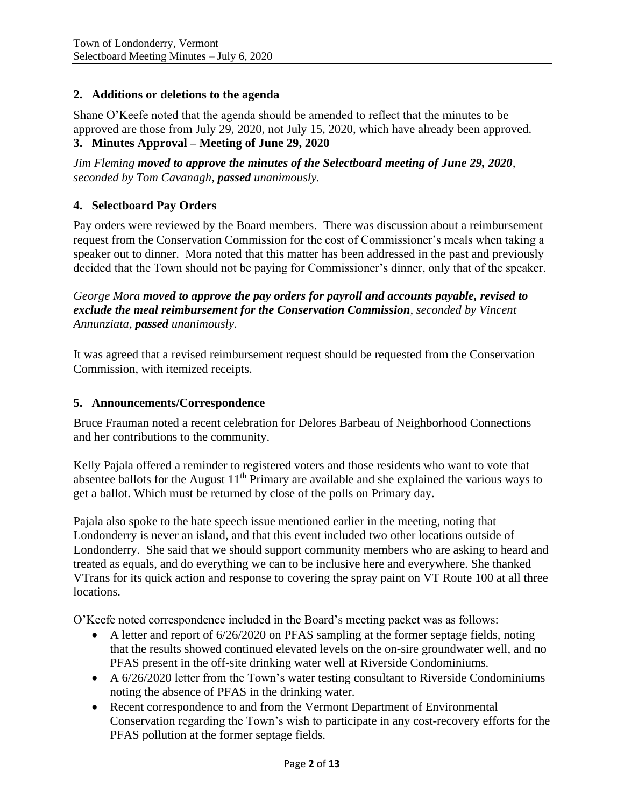### **2. Additions or deletions to the agenda**

Shane O'Keefe noted that the agenda should be amended to reflect that the minutes to be approved are those from July 29, 2020, not July 15, 2020, which have already been approved. **3. Minutes Approval – Meeting of June 29, 2020**

*Jim Fleming moved to approve the minutes of the Selectboard meeting of June 29, 2020, seconded by Tom Cavanagh, passed unanimously.*

### **4. Selectboard Pay Orders**

Pay orders were reviewed by the Board members. There was discussion about a reimbursement request from the Conservation Commission for the cost of Commissioner's meals when taking a speaker out to dinner. Mora noted that this matter has been addressed in the past and previously decided that the Town should not be paying for Commissioner's dinner, only that of the speaker.

*George Mora moved to approve the pay orders for payroll and accounts payable, revised to exclude the meal reimbursement for the Conservation Commission, seconded by Vincent Annunziata, passed unanimously.*

It was agreed that a revised reimbursement request should be requested from the Conservation Commission, with itemized receipts.

#### **5. Announcements/Correspondence**

Bruce Frauman noted a recent celebration for Delores Barbeau of Neighborhood Connections and her contributions to the community.

Kelly Pajala offered a reminder to registered voters and those residents who want to vote that absentee ballots for the August 11<sup>th</sup> Primary are available and she explained the various ways to get a ballot. Which must be returned by close of the polls on Primary day.

Pajala also spoke to the hate speech issue mentioned earlier in the meeting, noting that Londonderry is never an island, and that this event included two other locations outside of Londonderry. She said that we should support community members who are asking to heard and treated as equals, and do everything we can to be inclusive here and everywhere. She thanked VTrans for its quick action and response to covering the spray paint on VT Route 100 at all three locations.

O'Keefe noted correspondence included in the Board's meeting packet was as follows:

- A letter and report of 6/26/2020 on PFAS sampling at the former septage fields, noting that the results showed continued elevated levels on the on-sire groundwater well, and no PFAS present in the off-site drinking water well at Riverside Condominiums.
- A 6/26/2020 letter from the Town's water testing consultant to Riverside Condominiums noting the absence of PFAS in the drinking water.
- Recent correspondence to and from the Vermont Department of Environmental Conservation regarding the Town's wish to participate in any cost-recovery efforts for the PFAS pollution at the former septage fields.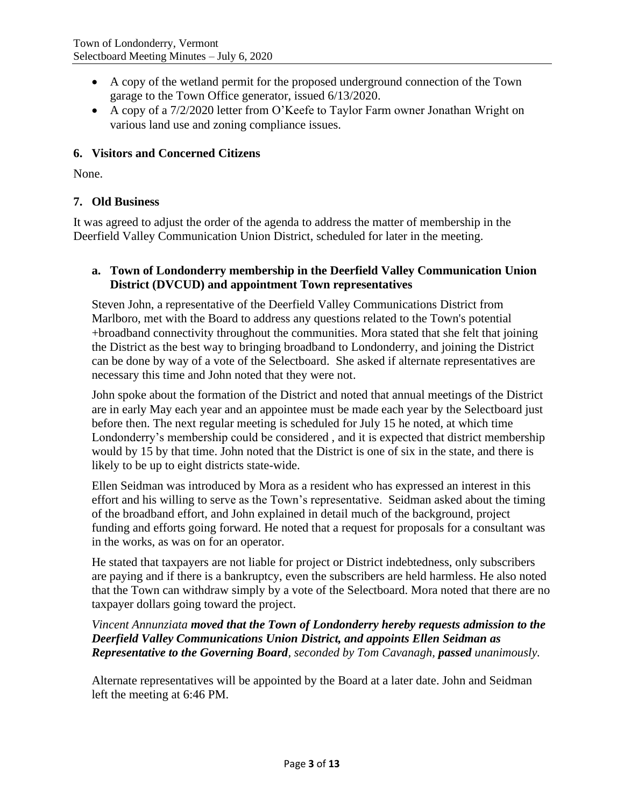- A copy of the wetland permit for the proposed underground connection of the Town garage to the Town Office generator, issued 6/13/2020.
- A copy of a 7/2/2020 letter from O'Keefe to Taylor Farm owner Jonathan Wright on various land use and zoning compliance issues.

## **6. Visitors and Concerned Citizens**

None.

### **7. Old Business**

It was agreed to adjust the order of the agenda to address the matter of membership in the Deerfield Valley Communication Union District, scheduled for later in the meeting.

## **a. Town of Londonderry membership in the Deerfield Valley Communication Union District (DVCUD) and appointment Town representatives**

Steven John, a representative of the Deerfield Valley Communications District from Marlboro, met with the Board to address any questions related to the Town's potential +broadband connectivity throughout the communities. Mora stated that she felt that joining the District as the best way to bringing broadband to Londonderry, and joining the District can be done by way of a vote of the Selectboard. She asked if alternate representatives are necessary this time and John noted that they were not.

John spoke about the formation of the District and noted that annual meetings of the District are in early May each year and an appointee must be made each year by the Selectboard just before then. The next regular meeting is scheduled for July 15 he noted, at which time Londonderry's membership could be considered , and it is expected that district membership would by 15 by that time. John noted that the District is one of six in the state, and there is likely to be up to eight districts state-wide.

Ellen Seidman was introduced by Mora as a resident who has expressed an interest in this effort and his willing to serve as the Town's representative. Seidman asked about the timing of the broadband effort, and John explained in detail much of the background, project funding and efforts going forward. He noted that a request for proposals for a consultant was in the works, as was on for an operator.

He stated that taxpayers are not liable for project or District indebtedness, only subscribers are paying and if there is a bankruptcy, even the subscribers are held harmless. He also noted that the Town can withdraw simply by a vote of the Selectboard. Mora noted that there are no taxpayer dollars going toward the project.

*Vincent Annunziata moved that the Town of Londonderry hereby requests admission to the Deerfield Valley Communications Union District, and appoints Ellen Seidman as Representative to the Governing Board, seconded by Tom Cavanagh, passed unanimously.*

Alternate representatives will be appointed by the Board at a later date. John and Seidman left the meeting at 6:46 PM.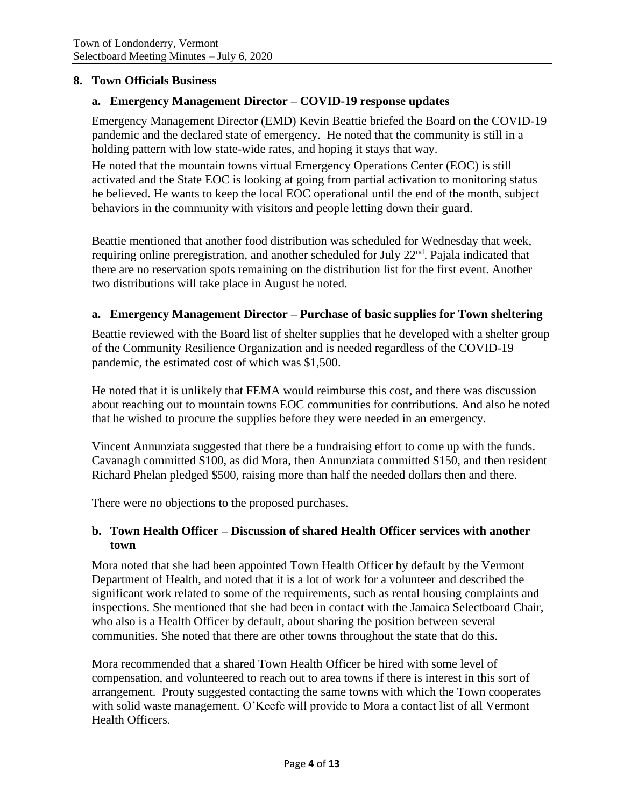### **8. Town Officials Business**

### **a. Emergency Management Director – COVID-19 response updates**

Emergency Management Director (EMD) Kevin Beattie briefed the Board on the COVID-19 pandemic and the declared state of emergency. He noted that the community is still in a holding pattern with low state-wide rates, and hoping it stays that way.

He noted that the mountain towns virtual Emergency Operations Center (EOC) is still activated and the State EOC is looking at going from partial activation to monitoring status he believed. He wants to keep the local EOC operational until the end of the month, subject behaviors in the community with visitors and people letting down their guard.

Beattie mentioned that another food distribution was scheduled for Wednesday that week, requiring online preregistration, and another scheduled for July 22<sup>nd</sup>. Pajala indicated that there are no reservation spots remaining on the distribution list for the first event. Another two distributions will take place in August he noted.

### **a. Emergency Management Director – Purchase of basic supplies for Town sheltering**

Beattie reviewed with the Board list of shelter supplies that he developed with a shelter group of the Community Resilience Organization and is needed regardless of the COVID-19 pandemic, the estimated cost of which was \$1,500.

He noted that it is unlikely that FEMA would reimburse this cost, and there was discussion about reaching out to mountain towns EOC communities for contributions. And also he noted that he wished to procure the supplies before they were needed in an emergency.

Vincent Annunziata suggested that there be a fundraising effort to come up with the funds. Cavanagh committed \$100, as did Mora, then Annunziata committed \$150, and then resident Richard Phelan pledged \$500, raising more than half the needed dollars then and there.

There were no objections to the proposed purchases.

## **b. Town Health Officer – Discussion of shared Health Officer services with another town**

Mora noted that she had been appointed Town Health Officer by default by the Vermont Department of Health, and noted that it is a lot of work for a volunteer and described the significant work related to some of the requirements, such as rental housing complaints and inspections. She mentioned that she had been in contact with the Jamaica Selectboard Chair, who also is a Health Officer by default, about sharing the position between several communities. She noted that there are other towns throughout the state that do this.

Mora recommended that a shared Town Health Officer be hired with some level of compensation, and volunteered to reach out to area towns if there is interest in this sort of arrangement. Prouty suggested contacting the same towns with which the Town cooperates with solid waste management. O'Keefe will provide to Mora a contact list of all Vermont Health Officers.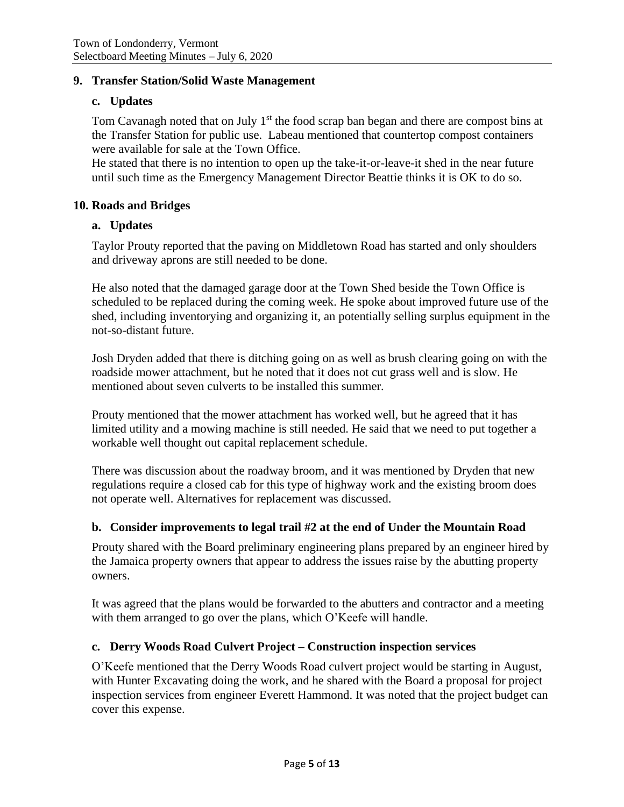#### **9. Transfer Station/Solid Waste Management**

#### **c. Updates**

Tom Cavanagh noted that on July 1<sup>st</sup> the food scrap ban began and there are compost bins at the Transfer Station for public use. Labeau mentioned that countertop compost containers were available for sale at the Town Office.

He stated that there is no intention to open up the take-it-or-leave-it shed in the near future until such time as the Emergency Management Director Beattie thinks it is OK to do so.

#### **10. Roads and Bridges**

#### **a. Updates**

Taylor Prouty reported that the paving on Middletown Road has started and only shoulders and driveway aprons are still needed to be done.

He also noted that the damaged garage door at the Town Shed beside the Town Office is scheduled to be replaced during the coming week. He spoke about improved future use of the shed, including inventorying and organizing it, an potentially selling surplus equipment in the not-so-distant future.

Josh Dryden added that there is ditching going on as well as brush clearing going on with the roadside mower attachment, but he noted that it does not cut grass well and is slow. He mentioned about seven culverts to be installed this summer.

Prouty mentioned that the mower attachment has worked well, but he agreed that it has limited utility and a mowing machine is still needed. He said that we need to put together a workable well thought out capital replacement schedule.

There was discussion about the roadway broom, and it was mentioned by Dryden that new regulations require a closed cab for this type of highway work and the existing broom does not operate well. Alternatives for replacement was discussed.

### **b. Consider improvements to legal trail #2 at the end of Under the Mountain Road**

Prouty shared with the Board preliminary engineering plans prepared by an engineer hired by the Jamaica property owners that appear to address the issues raise by the abutting property owners.

It was agreed that the plans would be forwarded to the abutters and contractor and a meeting with them arranged to go over the plans, which O'Keefe will handle.

#### **c. Derry Woods Road Culvert Project – Construction inspection services**

O'Keefe mentioned that the Derry Woods Road culvert project would be starting in August, with Hunter Excavating doing the work, and he shared with the Board a proposal for project inspection services from engineer Everett Hammond. It was noted that the project budget can cover this expense.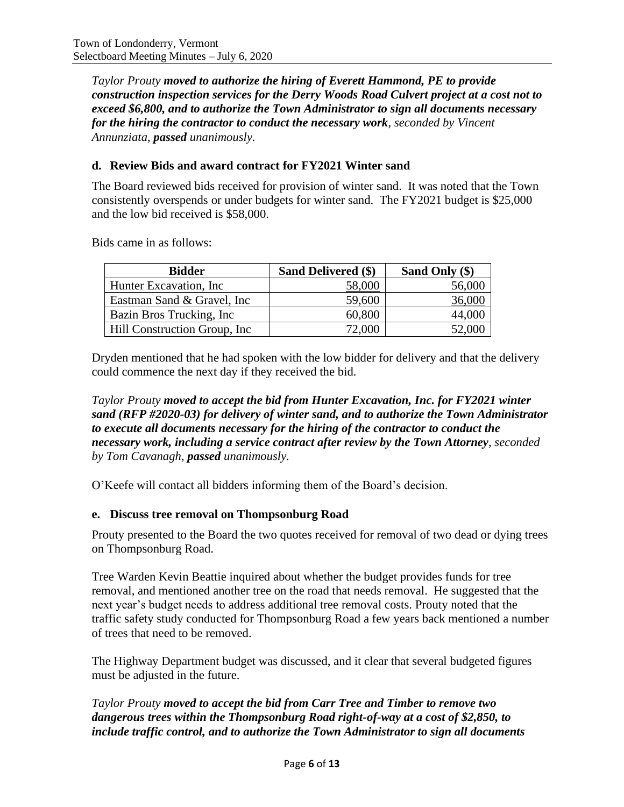*Taylor Prouty moved to authorize the hiring of Everett Hammond, PE to provide construction inspection services for the Derry Woods Road Culvert project at a cost not to exceed \$6,800, and to authorize the Town Administrator to sign all documents necessary for the hiring the contractor to conduct the necessary work, seconded by Vincent Annunziata, passed unanimously.*

### **d. Review Bids and award contract for FY2021 Winter sand**

The Board reviewed bids received for provision of winter sand. It was noted that the Town consistently overspends or under budgets for winter sand. The FY2021 budget is \$25,000 and the low bid received is \$58,000.

Bids came in as follows:

| <b>Bidder</b>                 | Sand Delivered (\$) | Sand Only (\$) |
|-------------------------------|---------------------|----------------|
| Hunter Excavation, Inc.       | 58,000              | 56,000         |
| Eastman Sand & Gravel, Inc.   | 59,600              | 36,000         |
| Bazin Bros Trucking, Inc.     | 60,800              | 44,000         |
| Hill Construction Group, Inc. | 72,000              | 52,000         |

Dryden mentioned that he had spoken with the low bidder for delivery and that the delivery could commence the next day if they received the bid.

*Taylor Prouty moved to accept the bid from Hunter Excavation, Inc. for FY2021 winter sand (RFP #2020-03) for delivery of winter sand, and to authorize the Town Administrator to execute all documents necessary for the hiring of the contractor to conduct the necessary work, including a service contract after review by the Town Attorney, seconded by Tom Cavanagh, passed unanimously.*

O'Keefe will contact all bidders informing them of the Board's decision.

#### **e. Discuss tree removal on Thompsonburg Road**

Prouty presented to the Board the two quotes received for removal of two dead or dying trees on Thompsonburg Road.

Tree Warden Kevin Beattie inquired about whether the budget provides funds for tree removal, and mentioned another tree on the road that needs removal. He suggested that the next year's budget needs to address additional tree removal costs. Prouty noted that the traffic safety study conducted for Thompsonburg Road a few years back mentioned a number of trees that need to be removed.

The Highway Department budget was discussed, and it clear that several budgeted figures must be adjusted in the future.

## *Taylor Prouty moved to accept the bid from Carr Tree and Timber to remove two dangerous trees within the Thompsonburg Road right-of-way at a cost of \$2,850, to include traffic control, and to authorize the Town Administrator to sign all documents*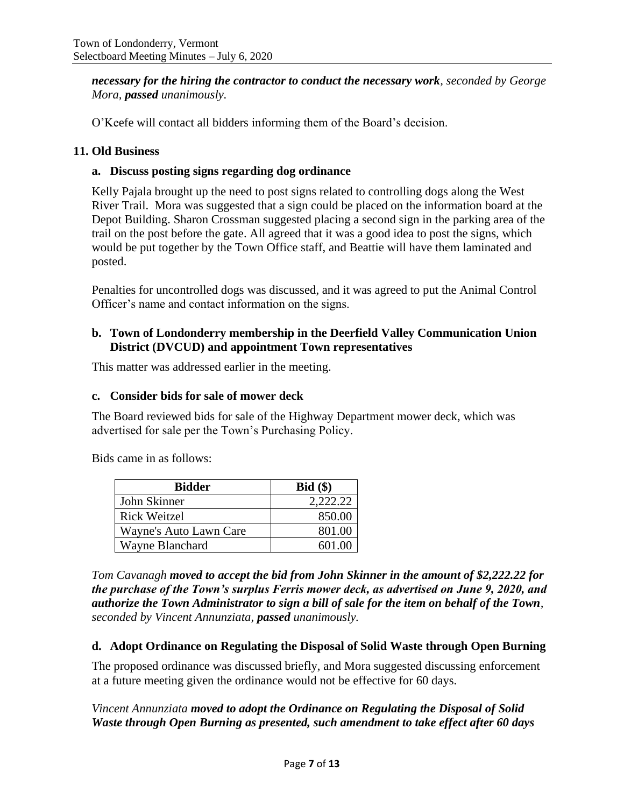*necessary for the hiring the contractor to conduct the necessary work, seconded by George Mora, passed unanimously.*

O'Keefe will contact all bidders informing them of the Board's decision.

#### **11. Old Business**

### **a. Discuss posting signs regarding dog ordinance**

Kelly Pajala brought up the need to post signs related to controlling dogs along the West River Trail. Mora was suggested that a sign could be placed on the information board at the Depot Building. Sharon Crossman suggested placing a second sign in the parking area of the trail on the post before the gate. All agreed that it was a good idea to post the signs, which would be put together by the Town Office staff, and Beattie will have them laminated and posted.

Penalties for uncontrolled dogs was discussed, and it was agreed to put the Animal Control Officer's name and contact information on the signs.

### **b. Town of Londonderry membership in the Deerfield Valley Communication Union District (DVCUD) and appointment Town representatives**

This matter was addressed earlier in the meeting.

#### **c. Consider bids for sale of mower deck**

The Board reviewed bids for sale of the Highway Department mower deck, which was advertised for sale per the Town's Purchasing Policy.

Bids came in as follows:

| <b>Bidder</b>          | Bid(\$)  |
|------------------------|----------|
| John Skinner           | 2,222.22 |
| Rick Weitzel           | 850.00   |
| Wayne's Auto Lawn Care | 801.00   |
| Wayne Blanchard        | 601.00   |

*Tom Cavanagh moved to accept the bid from John Skinner in the amount of \$2,222.22 for the purchase of the Town's surplus Ferris mower deck, as advertised on June 9, 2020, and authorize the Town Administrator to sign a bill of sale for the item on behalf of the Town, seconded by Vincent Annunziata, passed unanimously.*

#### **d. Adopt Ordinance on Regulating the Disposal of Solid Waste through Open Burning**

The proposed ordinance was discussed briefly, and Mora suggested discussing enforcement at a future meeting given the ordinance would not be effective for 60 days.

*Vincent Annunziata moved to adopt the Ordinance on Regulating the Disposal of Solid Waste through Open Burning as presented, such amendment to take effect after 60 days*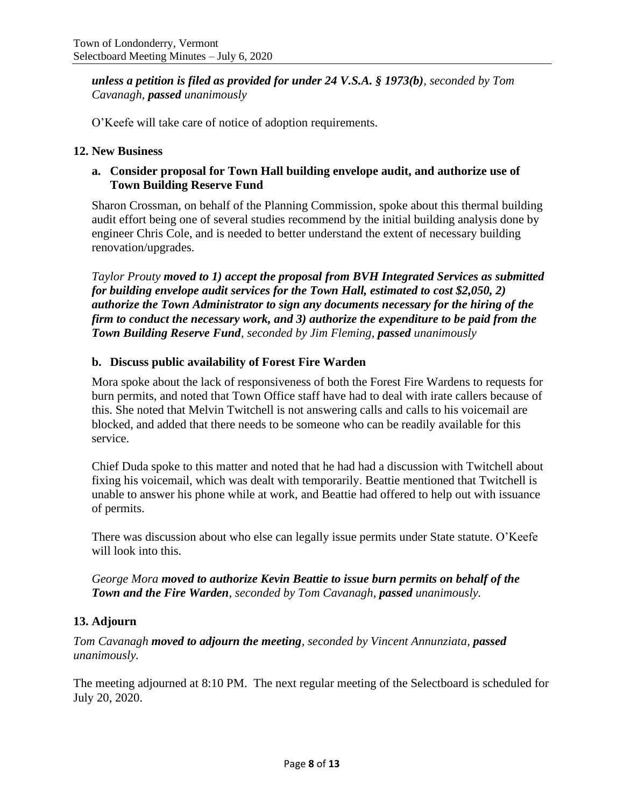*unless a petition is filed as provided for under 24 V.S.A. § 1973(b), seconded by Tom Cavanagh, passed unanimously*

O'Keefe will take care of notice of adoption requirements.

#### **12. New Business**

### **a. Consider proposal for Town Hall building envelope audit, and authorize use of Town Building Reserve Fund**

Sharon Crossman, on behalf of the Planning Commission, spoke about this thermal building audit effort being one of several studies recommend by the initial building analysis done by engineer Chris Cole, and is needed to better understand the extent of necessary building renovation/upgrades.

*Taylor Prouty moved to 1) accept the proposal from BVH Integrated Services as submitted for building envelope audit services for the Town Hall, estimated to cost \$2,050, 2) authorize the Town Administrator to sign any documents necessary for the hiring of the firm to conduct the necessary work, and 3) authorize the expenditure to be paid from the Town Building Reserve Fund, seconded by Jim Fleming, passed unanimously*

### **b. Discuss public availability of Forest Fire Warden**

Mora spoke about the lack of responsiveness of both the Forest Fire Wardens to requests for burn permits, and noted that Town Office staff have had to deal with irate callers because of this. She noted that Melvin Twitchell is not answering calls and calls to his voicemail are blocked, and added that there needs to be someone who can be readily available for this service.

Chief Duda spoke to this matter and noted that he had had a discussion with Twitchell about fixing his voicemail, which was dealt with temporarily. Beattie mentioned that Twitchell is unable to answer his phone while at work, and Beattie had offered to help out with issuance of permits.

There was discussion about who else can legally issue permits under State statute. O'Keefe will look into this.

*George Mora moved to authorize Kevin Beattie to issue burn permits on behalf of the Town and the Fire Warden, seconded by Tom Cavanagh, passed unanimously.*

#### **13. Adjourn**

*Tom Cavanagh moved to adjourn the meeting, seconded by Vincent Annunziata, passed unanimously.*

The meeting adjourned at 8:10 PM. The next regular meeting of the Selectboard is scheduled for July 20, 2020.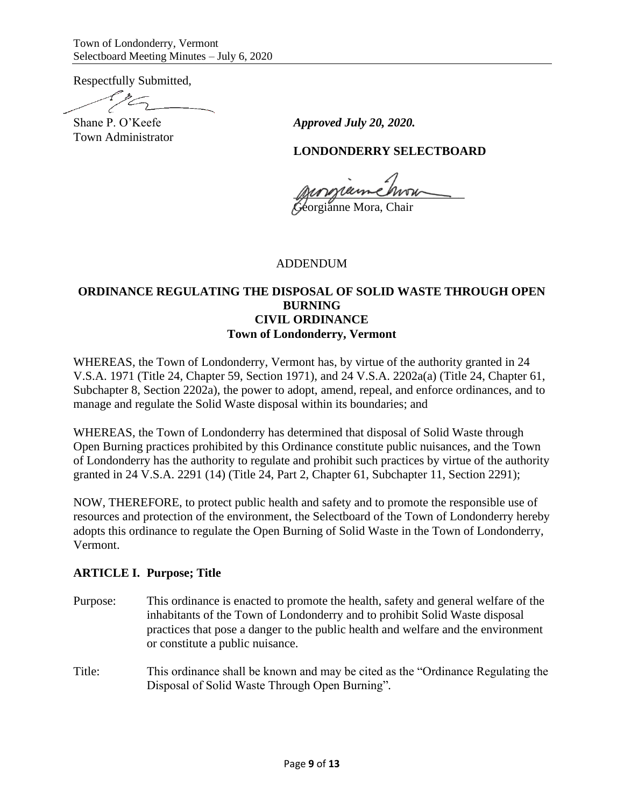Respectfully Submitted,

Town Administrator

Shane P. O'Keefe *Approved July 20, 2020*.

### **LONDONDERRY SELECTBOARD**

parziemenn

Georgianne Mora, Chair

#### ADDENDUM

## **ORDINANCE REGULATING THE DISPOSAL OF SOLID WASTE THROUGH OPEN BURNING CIVIL ORDINANCE Town of Londonderry, Vermont**

WHEREAS, the Town of Londonderry, Vermont has, by virtue of the authority granted in 24 V.S.A. 1971 (Title 24, Chapter 59, Section 1971), and 24 V.S.A. 2202a(a) (Title 24, Chapter 61, Subchapter 8, Section 2202a), the power to adopt, amend, repeal, and enforce ordinances, and to manage and regulate the Solid Waste disposal within its boundaries; and

WHEREAS, the Town of Londonderry has determined that disposal of Solid Waste through Open Burning practices prohibited by this Ordinance constitute public nuisances, and the Town of Londonderry has the authority to regulate and prohibit such practices by virtue of the authority granted in 24 V.S.A. 2291 (14) (Title 24, Part 2, Chapter 61, Subchapter 11, Section 2291);

NOW, THEREFORE, to protect public health and safety and to promote the responsible use of resources and protection of the environment, the Selectboard of the Town of Londonderry hereby adopts this ordinance to regulate the Open Burning of Solid Waste in the Town of Londonderry, Vermont.

#### **ARTICLE I. Purpose; Title**

- Purpose: This ordinance is enacted to promote the health, safety and general welfare of the inhabitants of the Town of Londonderry and to prohibit Solid Waste disposal practices that pose a danger to the public health and welfare and the environment or constitute a public nuisance.
- Title: This ordinance shall be known and may be cited as the "Ordinance Regulating the Disposal of Solid Waste Through Open Burning"*.*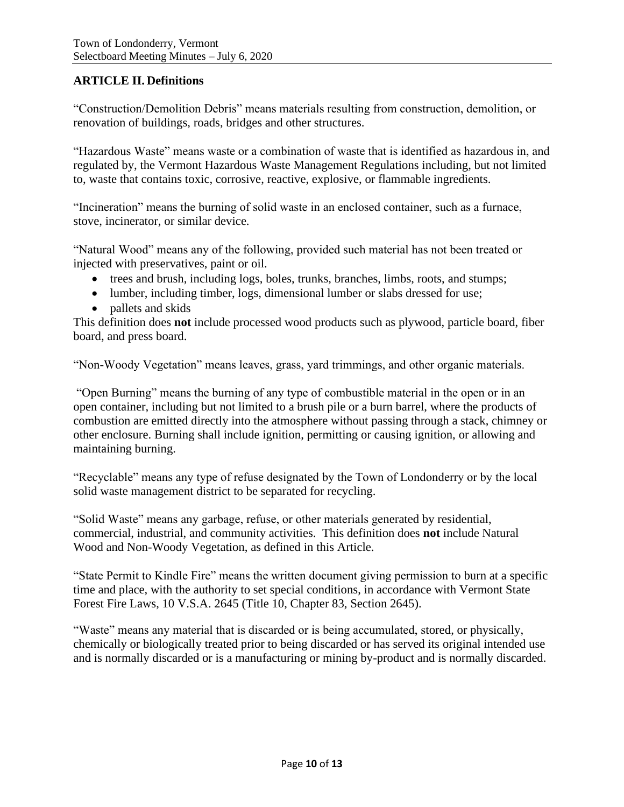## **ARTICLE II. Definitions**

"Construction/Demolition Debris" means materials resulting from construction, demolition, or renovation of buildings, roads, bridges and other structures.

"Hazardous Waste" means waste or a combination of waste that is identified as hazardous in, and regulated by, the Vermont Hazardous Waste Management Regulations including, but not limited to, waste that contains toxic, corrosive, reactive, explosive, or flammable ingredients.

"Incineration" means the burning of solid waste in an enclosed container, such as a furnace, stove, incinerator, or similar device.

"Natural Wood" means any of the following, provided such material has not been treated or injected with preservatives, paint or oil.

- trees and brush, including logs, boles, trunks, branches, limbs, roots, and stumps;
- lumber, including timber, logs, dimensional lumber or slabs dressed for use;
- pallets and skids

This definition does **not** include processed wood products such as plywood, particle board, fiber board, and press board.

"Non-Woody Vegetation" means leaves, grass, yard trimmings, and other organic materials.

"Open Burning" means the burning of any type of combustible material in the open or in an open container, including but not limited to a brush pile or a burn barrel, where the products of combustion are emitted directly into the atmosphere without passing through a stack, chimney or other enclosure. Burning shall include ignition, permitting or causing ignition, or allowing and maintaining burning.

"Recyclable" means any type of refuse designated by the Town of Londonderry or by the local solid waste management district to be separated for recycling.

"Solid Waste" means any garbage, refuse, or other materials generated by residential, commercial, industrial, and community activities. This definition does **not** include Natural Wood and Non-Woody Vegetation, as defined in this Article.

"State Permit to Kindle Fire" means the written document giving permission to burn at a specific time and place, with the authority to set special conditions, in accordance with Vermont State Forest Fire Laws, 10 V.S.A. 2645 (Title 10, Chapter 83, Section 2645).

"Waste" means any material that is discarded or is being accumulated, stored, or physically, chemically or biologically treated prior to being discarded or has served its original intended use and is normally discarded or is a manufacturing or mining by-product and is normally discarded.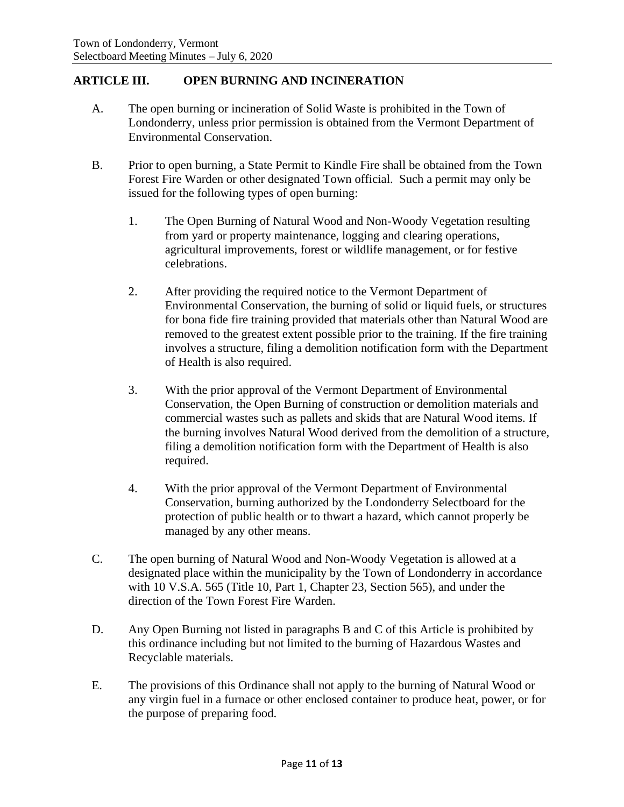## **ARTICLE III. OPEN BURNING AND INCINERATION**

- A. The open burning or incineration of Solid Waste is prohibited in the Town of Londonderry, unless prior permission is obtained from the Vermont Department of Environmental Conservation.
- B. Prior to open burning, a State Permit to Kindle Fire shall be obtained from the Town Forest Fire Warden or other designated Town official. Such a permit may only be issued for the following types of open burning:
	- 1. The Open Burning of Natural Wood and Non-Woody Vegetation resulting from yard or property maintenance, logging and clearing operations, agricultural improvements, forest or wildlife management, or for festive celebrations.
	- 2. After providing the required notice to the Vermont Department of Environmental Conservation, the burning of solid or liquid fuels, or structures for bona fide fire training provided that materials other than Natural Wood are removed to the greatest extent possible prior to the training. If the fire training involves a structure, filing a demolition notification form with the Department of Health is also required.
	- 3. With the prior approval of the Vermont Department of Environmental Conservation, the Open Burning of construction or demolition materials and commercial wastes such as pallets and skids that are Natural Wood items. If the burning involves Natural Wood derived from the demolition of a structure, filing a demolition notification form with the Department of Health is also required.
	- 4. With the prior approval of the Vermont Department of Environmental Conservation, burning authorized by the Londonderry Selectboard for the protection of public health or to thwart a hazard, which cannot properly be managed by any other means.
- C. The open burning of Natural Wood and Non-Woody Vegetation is allowed at a designated place within the municipality by the Town of Londonderry in accordance with 10 V.S.A. 565 (Title 10, Part 1, Chapter 23, Section 565), and under the direction of the Town Forest Fire Warden.
- D. Any Open Burning not listed in paragraphs B and C of this Article is prohibited by this ordinance including but not limited to the burning of Hazardous Wastes and Recyclable materials.
- E. The provisions of this Ordinance shall not apply to the burning of Natural Wood or any virgin fuel in a furnace or other enclosed container to produce heat, power, or for the purpose of preparing food.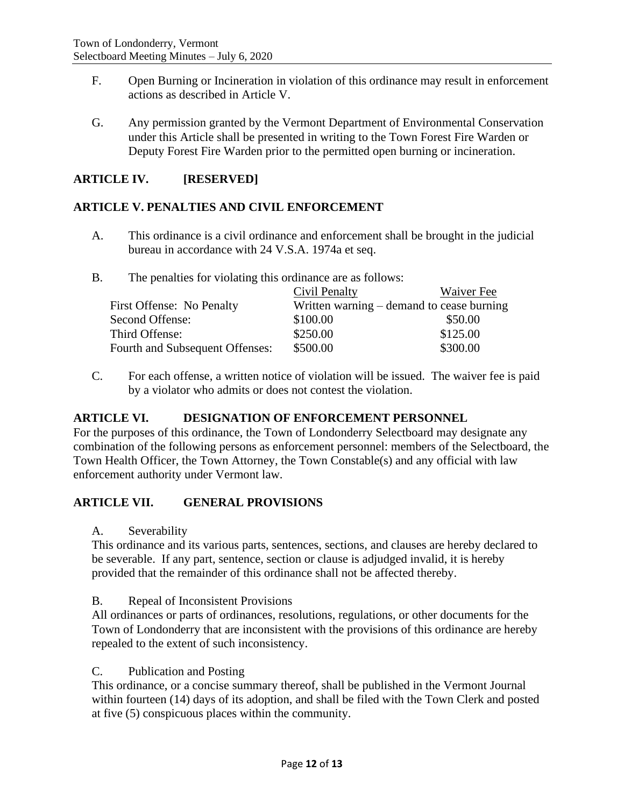- F. Open Burning or Incineration in violation of this ordinance may result in enforcement actions as described in Article V.
- G. Any permission granted by the Vermont Department of Environmental Conservation under this Article shall be presented in writing to the Town Forest Fire Warden or Deputy Forest Fire Warden prior to the permitted open burning or incineration.

## **ARTICLE IV. [RESERVED]**

### **ARTICLE V. PENALTIES AND CIVIL ENFORCEMENT**

- A. This ordinance is a civil ordinance and enforcement shall be brought in the judicial bureau in accordance with 24 V.S.A. 1974a et seq.
- B. The penalties for violating this ordinance are as follows:

|                                 | Civil Penalty | Waiver Fee                                |
|---------------------------------|---------------|-------------------------------------------|
| First Offense: No Penalty       |               | Written warning – demand to cease burning |
| Second Offense:                 | \$100.00      | \$50.00                                   |
| Third Offense:                  | \$250.00      | \$125.00                                  |
| Fourth and Subsequent Offenses: | \$500.00      | \$300.00                                  |

C. For each offense, a written notice of violation will be issued. The waiver fee is paid by a violator who admits or does not contest the violation.

## **ARTICLE VI. DESIGNATION OF ENFORCEMENT PERSONNEL**

For the purposes of this ordinance, the Town of Londonderry Selectboard may designate any combination of the following persons as enforcement personnel: members of the Selectboard, the Town Health Officer, the Town Attorney, the Town Constable(s) and any official with law enforcement authority under Vermont law.

## **ARTICLE VII. GENERAL PROVISIONS**

A. Severability

This ordinance and its various parts, sentences, sections, and clauses are hereby declared to be severable. If any part, sentence, section or clause is adjudged invalid, it is hereby provided that the remainder of this ordinance shall not be affected thereby.

#### B. Repeal of Inconsistent Provisions

All ordinances or parts of ordinances, resolutions, regulations, or other documents for the Town of Londonderry that are inconsistent with the provisions of this ordinance are hereby repealed to the extent of such inconsistency.

#### C. Publication and Posting

This ordinance, or a concise summary thereof, shall be published in the Vermont Journal within fourteen (14) days of its adoption, and shall be filed with the Town Clerk and posted at five (5) conspicuous places within the community.